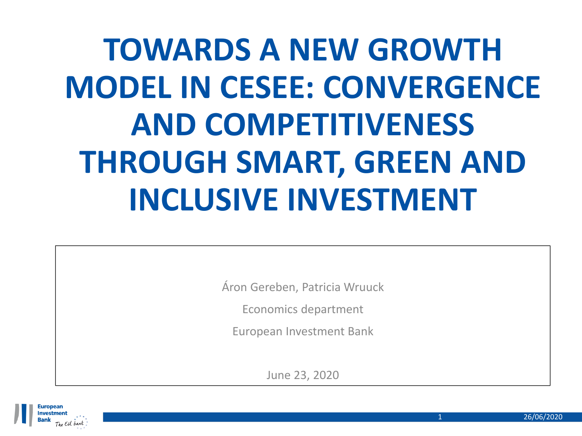# **TOWARDS A NEW GROWTH MODEL IN CESEE: CONVERGENCE AND COMPETITIVENESS THROUGH SMART, GREEN AND INCLUSIVE INVESTMENT**

Áron Gereben, Patricia Wruuck

Economics department

European Investment Bank

June 23, 2020

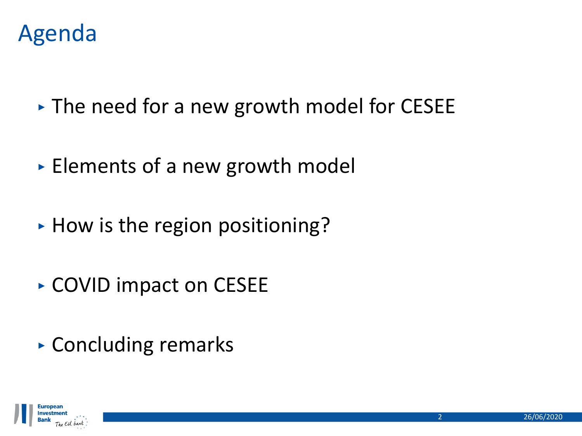

- ‣ The need for a new growth model for CESEE
- ‣ Elements of a new growth model
- ► How is the region positioning?
- ‣ COVID impact on CESEE
- ‣ Concluding remarks

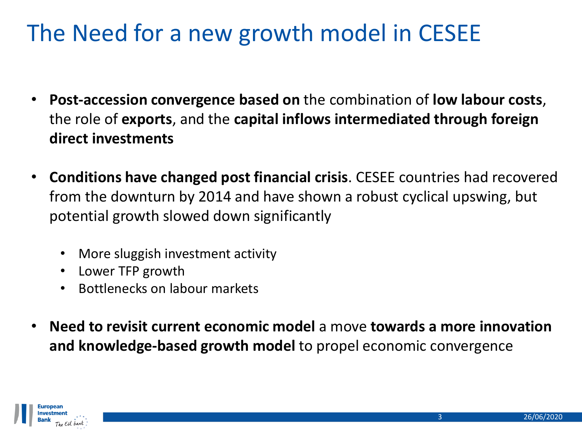# The Need for a new growth model in CESEE

- **Post-accession convergence based on** the combination of **low labour costs**, the role of **exports**, and the **capital inflows intermediated through foreign direct investments**
- **Conditions have changed post financial crisis**. CESEE countries had recovered from the downturn by 2014 and have shown a robust cyclical upswing, but potential growth slowed down significantly
	- More sluggish investment activity
	- Lower TFP growth
	- Bottlenecks on labour markets
- **Need to revisit current economic model** a move **towards a more innovation and knowledge-based growth model** to propel economic convergence

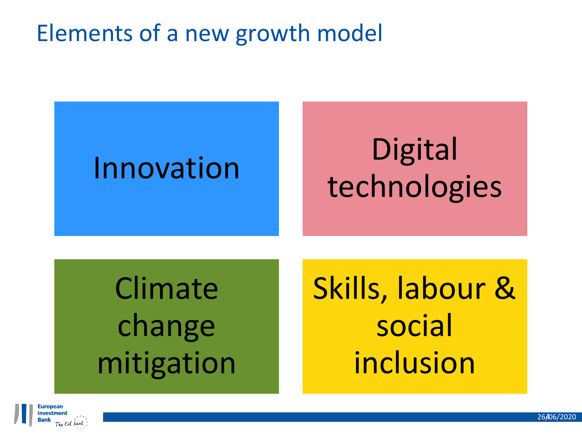# Elements of a new growth model

# Innovation Digital technologies

# Climate change mitigation

Skills, labour & social inclusion

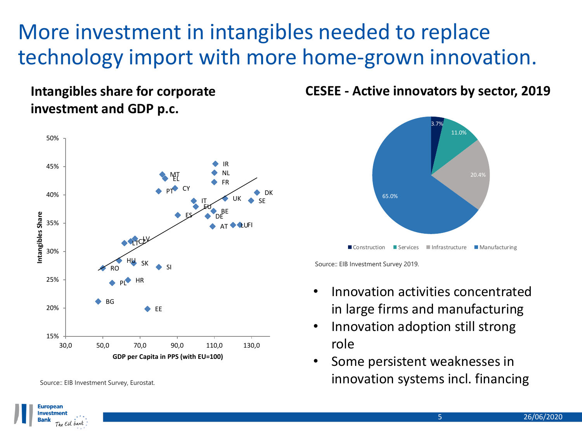## More investment in intangibles needed to replace technology import with more home-grown innovation.

**Intangibles share for corporate investment and GDP p.c.**



**CESEE - Active innovators by sector, 2019**



Source:: EIB Investment Survey 2019.

- Innovation activities concentrated in large firms and manufacturing
- Innovation adoption still strong role
- Some persistent weaknesses in Source:: EIB Investment Survey, Eurostat. **innovation systems incl. financing**



Investment



<sup>3.7%</sup>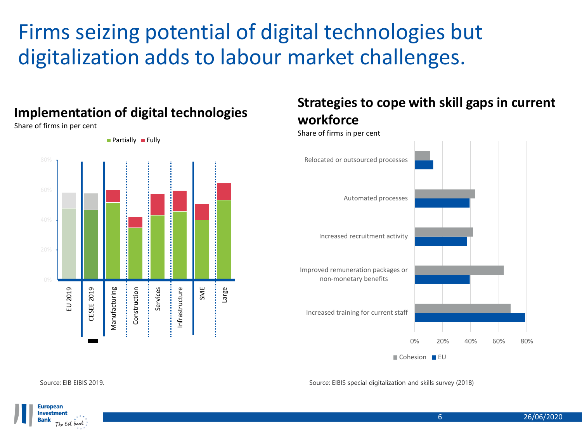## Firms seizing potential of digital technologies but digitalization adds to labour market challenges.

## Large Construction SME EU 2019 CESEE 2019 Manufacturing Services Infrastructure Manufacturing

#### **Implementation of digital technologies**

Share of firms in per cent



 $\blacksquare$  Partially  $\blacksquare$  Fully

### **Strategies to cope with skill gaps in current workforce**

Share of firms in per cent



Cohesion **EU** 

Source: EIBIS special digitalization and skills survey (2018)



The EU bank

**Europear Investment Bank** 

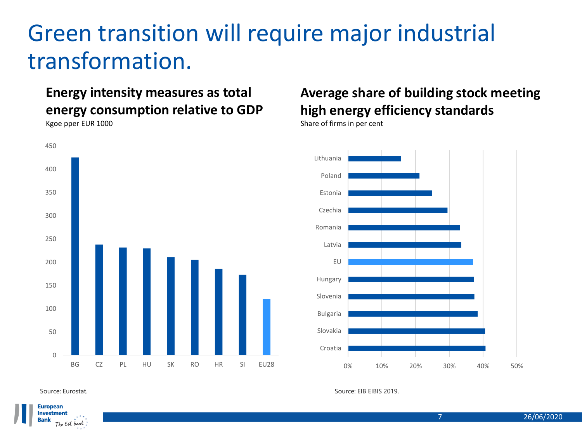## Green transition will require major industrial transformation.

## **Energy intensity measures as total energy consumption relative to GDP**



## **Average share of building stock meeting high energy efficiency standards**

Share of firms in per cent



Source: Eurostat. Source: EIB EIBIS 2019.

Kgoe pper EUR 1000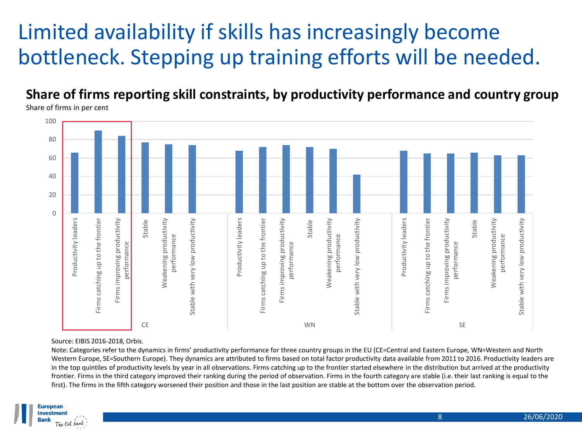## Limited availability if skills has increasingly become bottleneck. Stepping up training efforts will be needed.

**Share of firms reporting skill constraints, by productivity performance and country group** Share of firms in per cent



#### Source: EIBIS 2016-2018, Orbis.

Note: Categories refer to the dynamics in firms' productivity performance for three country groups in the EU (CE=Central and Eastern Europe, WN=Western and North Western Europe, SE=Southern Europe). They dynamics are attributed to firms based on total factor productivity data available from 2011 to 2016. Productivity leaders are in the top quintiles of productivity levels by year in all observations. Firms catching up to the frontier started elsewhere in the distribution but arrived at the productivity frontier. Firms in the third category improved their ranking during the period of observation. Firms in the fourth category are stable (i.e. their last ranking is equal to the first). The firms in the fifth category worsened their position and those in the last position are stable at the bottom over the observation period.

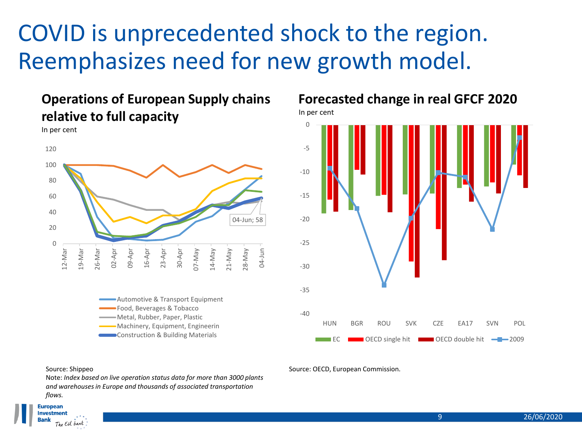# COVID is unprecedented shock to the region. Reemphasizes need for new growth model.

### **Operations of European Supply chains relative to full capacity**



Food, Beverages & Tobacco Metal, Rubber, Paper, Plastic Machinery, Equipment, Engineerin **Construction & Building Materials** 

#### **Forecasted change in real GFCF 2020**

In per cent



#### Source: Shippeo

In per cent

Note: *Index based on live operation status data for more than 3000 plants and warehouses in Europe and thousands of associated transportation flows.*

#### Source: OECD, European Commission.

#### **European Investment** The EU bank